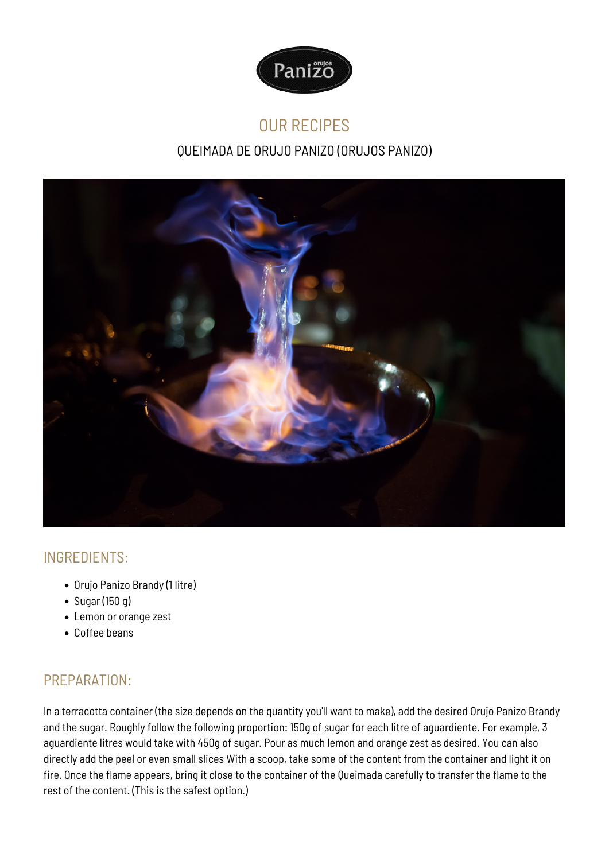

# OUR RECIPES

# QUEIMADA DE ORUJO PANIZO (ORUJOS PANIZO)



## INGREDIENTS:

- Orujo Panizo Brandy (1 litre)
- Sugar (150 g)
- Lemon or orange zest
- Coffee beans

## PREPARATION:

In a terracotta container (the size depends on the quantity you'll want to make), add the desired Orujo Panizo Brandy and the sugar. Roughly follow the following proportion: 150g of sugar for each litre of aguardiente. For example, 3 aguardiente litres would take with 450g of sugar. Pour as much lemon and orange zest as desired. You can also directly add the peel or even small slices With a scoop, take some of the content from the container and light it on fire. Once the flame appears, bring it close to the container of the Queimada carefully to transfer the flame to the rest of the content. (This is the safest option.)